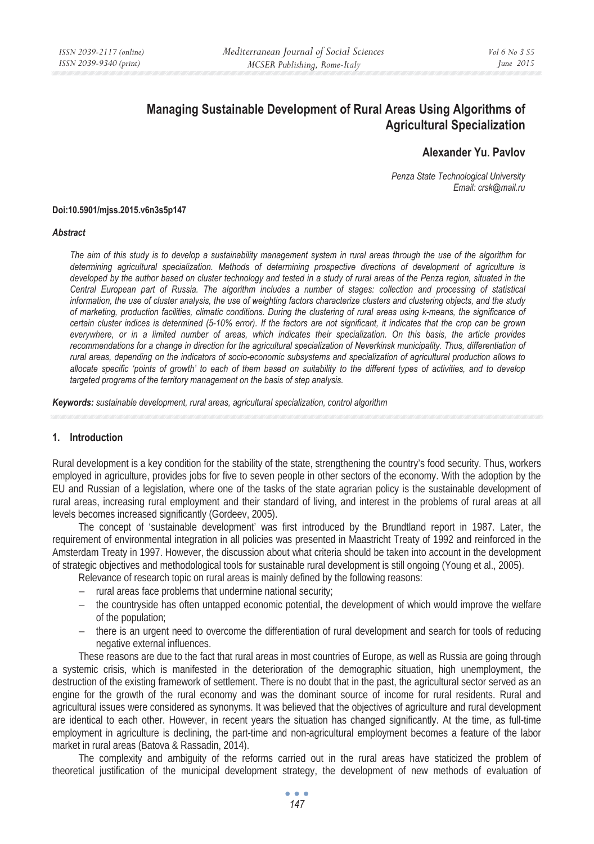# **Managing Sustainable Development of Rural Areas Using Algorithms of Agricultural Specialization**

# **Alexander Yu. Pavlov**

*Penza State Technological University Email: crsk@mail.ru* 

#### **Doi:10.5901/mjss.2015.v6n3s5p147**

#### *Abstract*

*The aim of this study is to develop a sustainability management system in rural areas through the use of the algorithm for determining agricultural specialization. Methods of determining prospective directions of development of agriculture is*  developed by the author based on cluster technology and tested in a study of rural areas of the Penza region, situated in the *Central European part of Russia. The algorithm includes a number of stages: collection and processing of statistical information, the use of cluster analysis, the use of weighting factors characterize clusters and clustering objects, and the study of marketing, production facilities, climatic conditions. During the clustering of rural areas using k-means, the significance of certain cluster indices is determined (5-10% error). If the factors are not significant, it indicates that the crop can be grown everywhere, or in a limited number of areas, which indicates their specialization. On this basis, the article provides*  recommendations for a change in direction for the agricultural specialization of Neverkinsk municipality. Thus, differentiation of *rural areas, depending on the indicators of socio-economic subsystems and specialization of agricultural production allows to allocate specific 'points of growth' to each of them based on suitability to the different types of activities, and to develop targeted programs of the territory management on the basis of step analysis.* 

*Keywords: sustainable development, rural areas, agricultural specialization, control algorithm*

### **1. Introduction**

Rural development is a key condition for the stability of the state, strengthening the country's food security. Thus, workers employed in agriculture, provides jobs for five to seven people in other sectors of the economy. With the adoption by the EU and Russian of a legislation, where one of the tasks of the state agrarian policy is the sustainable development of rural areas, increasing rural employment and their standard of living, and interest in the problems of rural areas at all levels becomes increased significantly (Gordeev, 2005).

The concept of 'sustainable development' was first introduced by the Brundtland report in 1987. Later, the requirement of environmental integration in all policies was presented in Maastricht Treaty of 1992 and reinforced in the Amsterdam Treaty in 1997. However, the discussion about what criteria should be taken into account in the development of strategic objectives and methodological tools for sustainable rural development is still ongoing (Young et al., 2005).

- Relevance of research topic on rural areas is mainly defined by the following reasons:
- − rural areas face problems that undermine national security;
- − the countryside has often untapped economic potential, the development of which would improve the welfare of the population;
- − there is an urgent need to overcome the differentiation of rural development and search for tools of reducing negative external influences.

These reasons are due to the fact that rural areas in most countries of Europe, as well as Russia are going through a systemic crisis, which is manifested in the deterioration of the demographic situation, high unemployment, the destruction of the existing framework of settlement. There is no doubt that in the past, the agricultural sector served as an engine for the growth of the rural economy and was the dominant source of income for rural residents. Rural and agricultural issues were considered as synonyms. It was believed that the objectives of agriculture and rural development are identical to each other. However, in recent years the situation has changed significantly. At the time, as full-time employment in agriculture is declining, the part-time and non-agricultural employment becomes a feature of the labor market in rural areas (Batova & Rassadin, 2014).

The complexity and ambiguity of the reforms carried out in the rural areas have staticized the problem of theoretical justification of the municipal development strategy, the development of new methods of evaluation of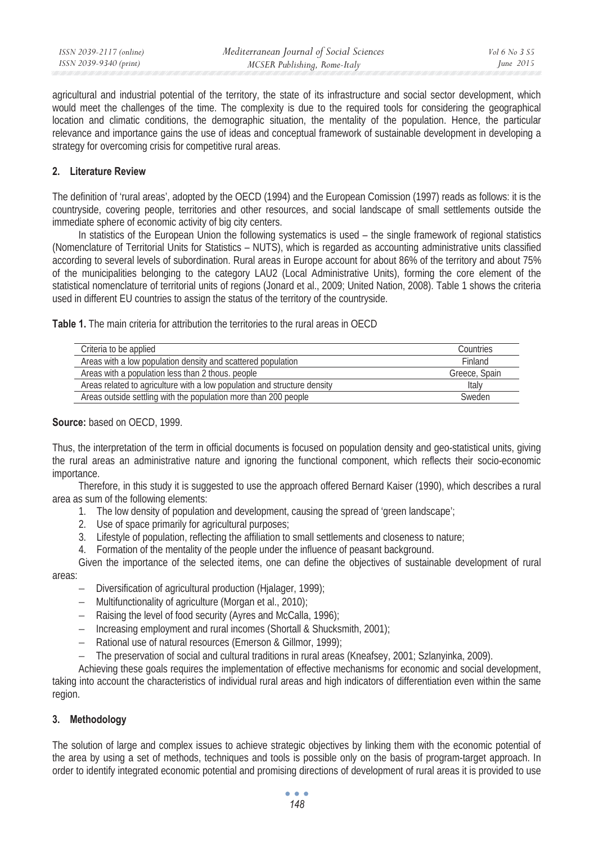| ISSN 2039-2117 (online) | Mediterranean Journal of Social Sciences | Vol 6 No. 3 S5 |
|-------------------------|------------------------------------------|----------------|
| ISSN 2039-9340 (print)  | MCSER Publishing, Rome-Italy             | June $2015$    |
|                         |                                          |                |

agricultural and industrial potential of the territory, the state of its infrastructure and social sector development, which would meet the challenges of the time. The complexity is due to the required tools for considering the geographical location and climatic conditions, the demographic situation, the mentality of the population. Hence, the particular relevance and importance gains the use of ideas and conceptual framework of sustainable development in developing a strategy for overcoming crisis for competitive rural areas.

## **2. Literature Review**

The definition of 'rural areas', adopted by the OECD (1994) and the European Comission (1997) reads as follows: it is the countryside, covering people, territories and other resources, and social landscape of small settlements outside the immediate sphere of economic activity of big city centers.

In statistics of the European Union the following systematics is used – the single framework of regional statistics (Nomenclature of Territorial Units for Statistics – NUTS), which is regarded as accounting administrative units classified according to several levels of subordination. Rural areas in Europe account for about 86% of the territory and about 75% of the municipalities belonging to the category LAU2 (Local Administrative Units), forming the core element of the statistical nomenclature of territorial units of regions (Jonard et al., 2009; United Nation, 2008). Table 1 shows the criteria used in different EU countries to assign the status of the territory of the countryside.

**Table 1.** The main criteria for attribution the territories to the rural areas in OECD

| Criteria to be applied                                                   | Countries     |
|--------------------------------------------------------------------------|---------------|
| Areas with a low population density and scattered population             | Finland       |
| Areas with a population less than 2 thous, people                        | Greece, Spain |
| Areas related to agriculture with a low population and structure density | Italy         |
| Areas outside settling with the population more than 200 people          | Sweden        |

### **Source:** based on OECD, 1999.

Thus, the interpretation of the term in official documents is focused on population density and geo-statistical units, giving the rural areas an administrative nature and ignoring the functional component, which reflects their socio-economic importance.

Therefore, in this study it is suggested to use the approach offered Bernard Kaiser (1990), which describes a rural area as sum of the following elements:

- 1. The low density of population and development, causing the spread of 'green landscape';
- 2. Use of space primarily for agricultural purposes;
- 3. Lifestyle of population, reflecting the affiliation to small settlements and closeness to nature;
- 4. Formation of the mentality of the people under the influence of peasant background.

Given the importance of the selected items, one can define the objectives of sustainable development of rural areas:

- − Diversification of agricultural production (Hjalager, 1999);
- − Multifunctionality of agriculture (Morgan et al., 2010);
- − Raising the level of food security (Ayres and McCalla, 1996);
- − Increasing employment and rural incomes (Shortall & Shucksmith, 2001);
- − Rational use of natural resources (Emerson & Gillmor, 1999);
- − The preservation of social and cultural traditions in rural areas (Kneafsey, 2001; Szlanyinka, 2009).

Achieving these goals requires the implementation of effective mechanisms for economic and social development, taking into account the characteristics of individual rural areas and high indicators of differentiation even within the same region.

# **3. Methodology**

The solution of large and complex issues to achieve strategic objectives by linking them with the economic potential of the area by using a set of methods, techniques and tools is possible only on the basis of program-target approach. In order to identify integrated economic potential and promising directions of development of rural areas it is provided to use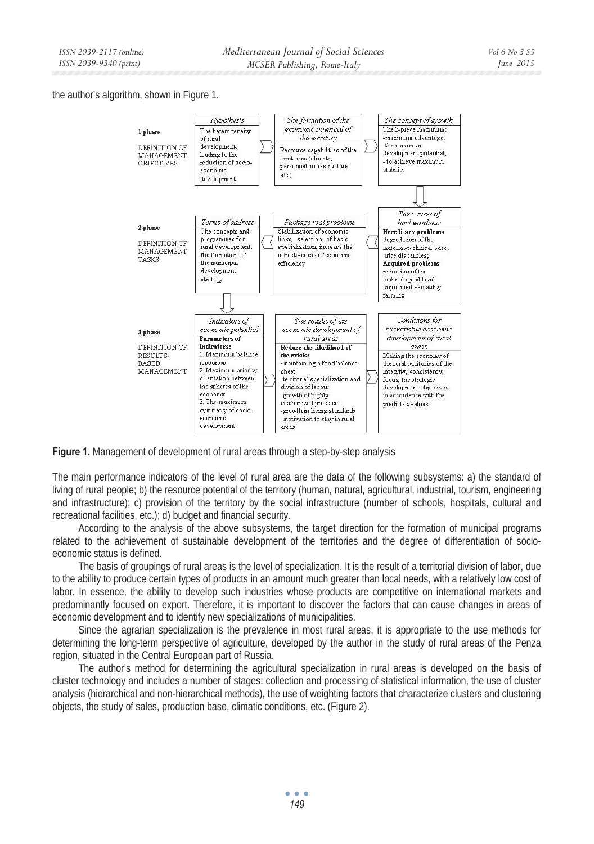the author's algorithm, shown in Figure 1.



**Figure 1.** Management of development of rural areas through a step-by-step analysis

The main performance indicators of the level of rural area are the data of the following subsystems: a) the standard of living of rural people; b) the resource potential of the territory (human, natural, agricultural, industrial, tourism, engineering and infrastructure); c) provision of the territory by the social infrastructure (number of schools, hospitals, cultural and recreational facilities, etc.); d) budget and financial security.

According to the analysis of the above subsystems, the target direction for the formation of municipal programs related to the achievement of sustainable development of the territories and the degree of differentiation of socioeconomic status is defined.

The basis of groupings of rural areas is the level of specialization. It is the result of a territorial division of labor, due to the ability to produce certain types of products in an amount much greater than local needs, with a relatively low cost of labor. In essence, the ability to develop such industries whose products are competitive on international markets and predominantly focused on export. Therefore, it is important to discover the factors that can cause changes in areas of economic development and to identify new specializations of municipalities.

Since the agrarian specialization is the prevalence in most rural areas, it is appropriate to the use methods for determining the long-term perspective of agriculture, developed by the author in the study of rural areas of the Penza region, situated in the Central European part of Russia.

The author's method for determining the agricultural specialization in rural areas is developed on the basis of cluster technology and includes a number of stages: collection and processing of statistical information, the use of cluster analysis (hierarchical and non-hierarchical methods), the use of weighting factors that characterize clusters and clustering objects, the study of sales, production base, climatic conditions, etc. (Figure 2).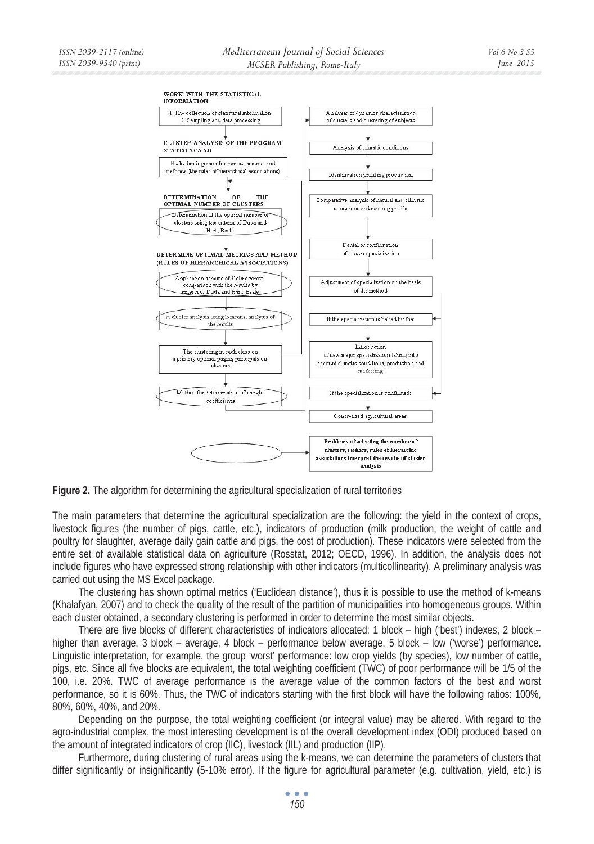

**Figure 2.** The algorithm for determining the agricultural specialization of rural territories

The main parameters that determine the agricultural specialization are the following: the yield in the context of crops, livestock figures (the number of pigs, cattle, etc.), indicators of production (milk production, the weight of cattle and poultry for slaughter, average daily gain cattle and pigs, the cost of production). These indicators were selected from the entire set of available statistical data on agriculture (Rosstat, 2012; OECD, 1996). In addition, the analysis does not include figures who have expressed strong relationship with other indicators (multicollinearity). A preliminary analysis was carried out using the MS Excel package.

The clustering has shown optimal metrics ('Euclidean distance'), thus it is possible to use the method of k-means (Khalafyan, 2007) and to check the quality of the result of the partition of municipalities into homogeneous groups. Within each cluster obtained, a secondary clustering is performed in order to determine the most similar objects.

There are five blocks of different characteristics of indicators allocated: 1 block – high ('best') indexes, 2 block – higher than average, 3 block – average, 4 block – performance below average, 5 block – low ('worse') performance. Linguistic interpretation, for example, the group 'worst' performance: low crop yields (by species), low number of cattle, pigs, etc. Since all five blocks are equivalent, the total weighting coefficient (TWC) of poor performance will be 1/5 of the 100, i.e. 20%. TWC of average performance is the average value of the common factors of the best and worst performance, so it is 60%. Thus, the TWC of indicators starting with the first block will have the following ratios: 100%, 80%, 60%, 40%, and 20%.

Depending on the purpose, the total weighting coefficient (or integral value) may be altered. With regard to the agro-industrial complex, the most interesting development is of the overall development index (ODI) produced based on the amount of integrated indicators of crop (IIC), livestock (IIL) and production (IIP).

Furthermore, during clustering of rural areas using the k-means, we can determine the parameters of clusters that differ significantly or insignificantly (5-10% error). If the figure for agricultural parameter (e.g. cultivation, yield, etc.) is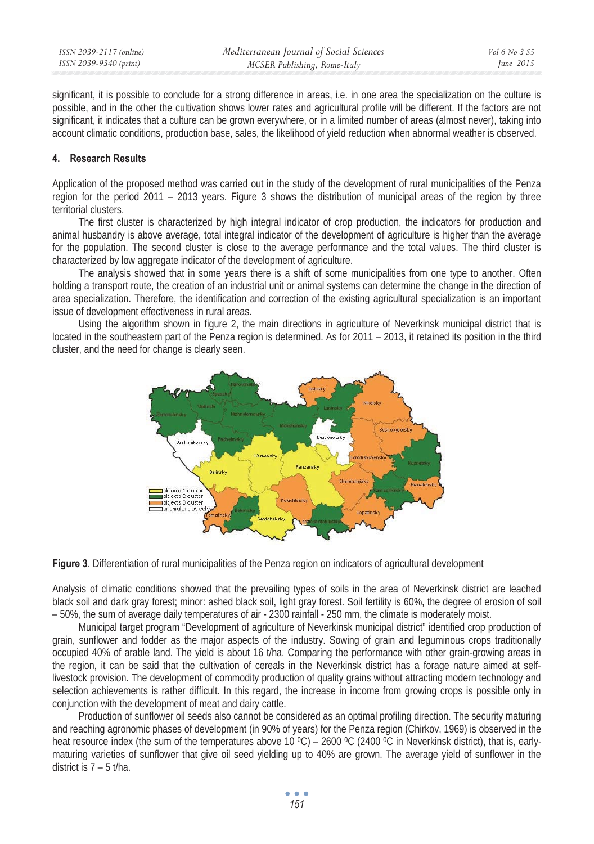| ISSN 2039-2117 (online) | Mediterranean Journal of Social Sciences | <i>Vol</i> 6 No 3 S5 |
|-------------------------|------------------------------------------|----------------------|
| ISSN 2039-9340 (print)  | MCSER Publishing, Rome-Italy             | June $2015$          |

significant, it is possible to conclude for a strong difference in areas, i.e. in one area the specialization on the culture is possible, and in the other the cultivation shows lower rates and agricultural profile will be different. If the factors are not significant, it indicates that a culture can be grown everywhere, or in a limited number of areas (almost never), taking into account climatic conditions, production base, sales, the likelihood of yield reduction when abnormal weather is observed.

#### **4. Research Results**

Application of the proposed method was carried out in the study of the development of rural municipalities of the Penza region for the period 2011 – 2013 years. Figure 3 shows the distribution of municipal areas of the region by three territorial clusters.

The first cluster is characterized by high integral indicator of crop production, the indicators for production and animal husbandry is above average, total integral indicator of the development of agriculture is higher than the average for the population. The second cluster is close to the average performance and the total values. The third cluster is characterized by low aggregate indicator of the development of agriculture.

The analysis showed that in some years there is a shift of some municipalities from one type to another. Often holding a transport route, the creation of an industrial unit or animal systems can determine the change in the direction of area specialization. Therefore, the identification and correction of the existing agricultural specialization is an important issue of development effectiveness in rural areas.

Using the algorithm shown in figure 2, the main directions in agriculture of Neverkinsk municipal district that is located in the southeastern part of the Penza region is determined. As for 2011 – 2013, it retained its position in the third cluster, and the need for change is clearly seen.



**Figure 3**. Differentiation of rural municipalities of the Penza region on indicators of agricultural development

Analysis of climatic conditions showed that the prevailing types of soils in the area of Neverkinsk district are leached black soil and dark gray forest; minor: ashed black soil, light gray forest. Soil fertility is 60%, the degree of erosion of soil – 50%, the sum of average daily temperatures of air - 2300 rainfall - 250 mm, the climate is moderately moist.

Municipal target program "Development of agriculture of Neverkinsk municipal district" identified crop production of grain, sunflower and fodder as the major aspects of the industry. Sowing of grain and leguminous crops traditionally occupied 40% of arable land. The yield is about 16 t/ha. Comparing the performance with other grain-growing areas in the region, it can be said that the cultivation of cereals in the Neverkinsk district has a forage nature aimed at selflivestock provision. The development of commodity production of quality grains without attracting modern technology and selection achievements is rather difficult. In this regard, the increase in income from growing crops is possible only in conjunction with the development of meat and dairy cattle.

Production of sunflower oil seeds also cannot be considered as an optimal profiling direction. The security maturing and reaching agronomic phases of development (in 90% of years) for the Penza region (Chirkov, 1969) is observed in the heat resource index (the sum of the temperatures above 10 °C) – 2600 °C (2400 °C in Neverkinsk district), that is, earlymaturing varieties of sunflower that give oil seed yielding up to 40% are grown. The average yield of sunflower in the district is  $7 - 5$  t/ha.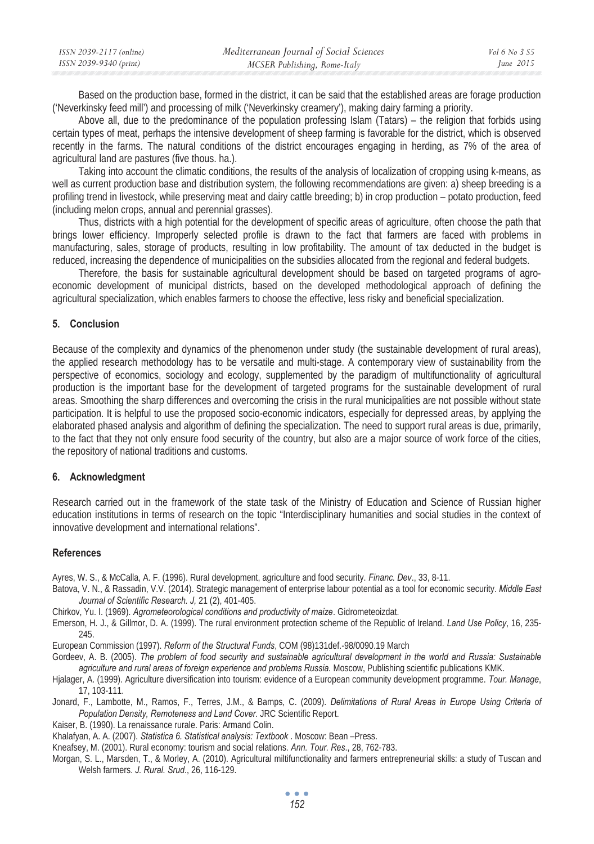| ISSN 2039-2117 (online) | Mediterranean Journal of Social Sciences | Vol 6 No. 3 S5 |
|-------------------------|------------------------------------------|----------------|
| ISSN 2039-9340 (print)  | MCSER Publishing, Rome-Italy             | June $2015$    |

Based on the production base, formed in the district, it can be said that the established areas are forage production ('Neverkinsky feed mill') and processing of milk ('Neverkinsky creamery'), making dairy farming a priority.

Above all, due to the predominance of the population professing Islam (Tatars) – the religion that forbids using certain types of meat, perhaps the intensive development of sheep farming is favorable for the district, which is observed recently in the farms. The natural conditions of the district encourages engaging in herding, as 7% of the area of agricultural land are pastures (five thous. ha.).

Taking into account the climatic conditions, the results of the analysis of localization of cropping using k-means, as well as current production base and distribution system, the following recommendations are given: a) sheep breeding is a profiling trend in livestock, while preserving meat and dairy cattle breeding; b) in crop production – potato production, feed (including melon crops, annual and perennial grasses).

Thus, districts with a high potential for the development of specific areas of agriculture, often choose the path that brings lower efficiency. Improperly selected profile is drawn to the fact that farmers are faced with problems in manufacturing, sales, storage of products, resulting in low profitability. The amount of tax deducted in the budget is reduced, increasing the dependence of municipalities on the subsidies allocated from the regional and federal budgets.

Therefore, the basis for sustainable agricultural development should be based on targeted programs of agroeconomic development of municipal districts, based on the developed methodological approach of defining the agricultural specialization, which enables farmers to choose the effective, less risky and beneficial specialization.

## **5. Conclusion**

Because of the complexity and dynamics of the phenomenon under study (the sustainable development of rural areas), the applied research methodology has to be versatile and multi-stage. A contemporary view of sustainability from the perspective of economics, sociology and ecology, supplemented by the paradigm of multifunctionality of agricultural production is the important base for the development of targeted programs for the sustainable development of rural areas. Smoothing the sharp differences and overcoming the crisis in the rural municipalities are not possible without state participation. It is helpful to use the proposed socio-economic indicators, especially for depressed areas, by applying the elaborated phased analysis and algorithm of defining the specialization. The need to support rural areas is due, primarily, to the fact that they not only ensure food security of the country, but also are a major source of work force of the cities, the repository of national traditions and customs.

#### **6. Acknowledgment**

Research carried out in the framework of the state task of the Ministry of Education and Science of Russian higher education institutions in terms of research on the topic "Interdisciplinary humanities and social studies in the context of innovative development and international relations".

#### **References**

Ayres, W. S., & McCalla, A. F. (1996). Rural development, agriculture and food security. *Financ. Dev*., 33, 8-11.

- Batova, V. N., & Rassadin, V.V. (2014). Strategic management of enterprise labour potential as a tool for economic security. *Middle East Journal of Scientific Research. J,* 21 (2), 401-405.
- Chirkov, Yu. I. (1969). *Agrometeorological conditions and productivity of maize*. Gidrometeoizdat.
- Emerson, H. J., & Gillmor, D. A. (1999). The rural environment protection scheme of the Republic of Ireland. *Land Use Policy*, 16, 235- 245.

European Commission (1997). *Reform of the Structural Funds*, COM (98)131def.-98/0090.19 March

- Gordeev, A. B. (2005). *The problem of food security and sustainable agricultural development in the world and Russia: Sustainable agriculture and rural areas of foreign experience and problems Russia.* Moscow, Publishing scientific publications KMK.
- Hjalager, A. (1999). Agriculture diversification into tourism: evidence of a European community development programme. *Tour. Manage*, 17, 103-111.
- Jonard, F., Lambotte, M., Ramos, F., Terres, J.M., & Bamps, C. (2009). *Delimitations of Rural Areas in Europe Using Criteria of Population Density, Remoteness and Land Cover*. JRC Scientific Report.

Kaiser, B. (1990). La renaissance rurale. Paris: Armand Colin.

Khalafyan, A. A. (2007). *Statistica 6. Statistical analysis: Textbook* . Moscow: Bean –Press.

- Kneafsey, M. (2001). Rural economy: tourism and social relations. *Ann. Tour. Res*., 28, 762-783.
- Morgan, S. L., Marsden, T., & Morley, A. (2010). Agricultural miltifunctionality and farmers entrepreneurial skills: a study of Tuscan and Welsh farmers. *J. Rural. Srud*., 26, 116-129.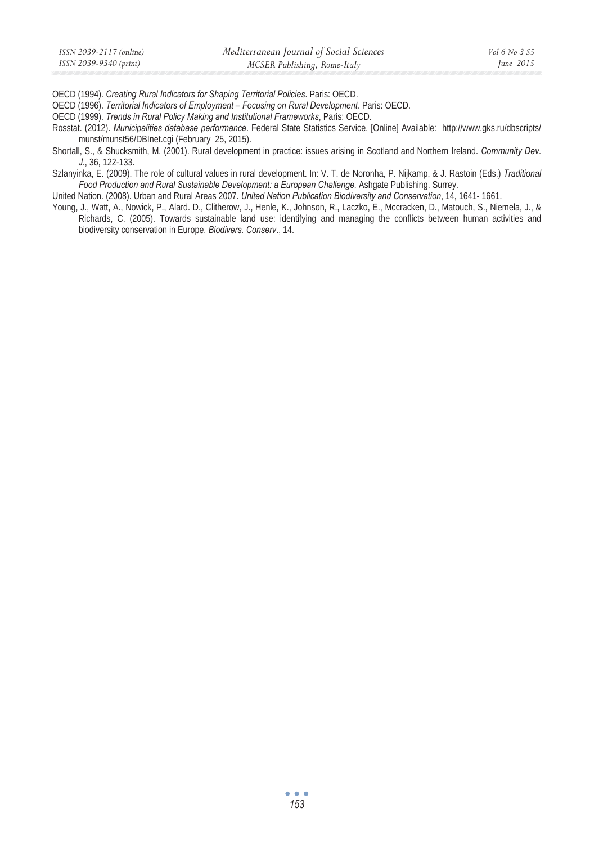OECD (1994). *Creating Rural Indicators for Shaping Territorial Policies*. Paris: OECD.

OECD (1996). *Territorial Indicators of Employment – Focusing on Rural Development*. Paris: OECD.

OECD (1999). *Trends in Rural Policy Making and Institutional Frameworks*, Paris: OECD.

Rosstat. (2012). *Municipalities database performance*. Federal State Statistics Service. [Online] Available: http://www.gks.ru/dbscripts/ munst/munst56/DBInet.cgi (February 25, 2015).

Shortall, S., & Shucksmith, M. (2001). Rural development in practice: issues arising in Scotland and Northern Ireland. *Community Dev. J.*, 36, 122-133.

Szlanyinka, E. (2009). The role of cultural values in rural development. In: V. T. de Noronha, P. Nijkamp, & J. Rastoin (Eds.) *Traditional Food Production and Rural Sustainable Development: a European Challenge.* Ashgate Publishing. Surrey.

United Nation. (2008). Urban and Rural Areas 2007. *United Nation Publication Biodiversity and Conservation*, 14, 1641- 1661.

Young, J., Watt, A., Nowick, P., Alard. D., Clitherow, J., Henle, K., Johnson, R., Laczko, E., Mccracken, D., Matouch, S., Niemela, J., & Richards, C. (2005). Towards sustainable land use: identifying and managing the conflicts between human activities and biodiversity conservation in Europe. *Biodivers. Conserv*., 14.